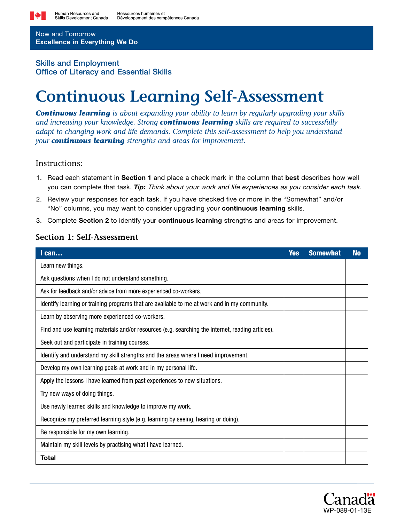

Now and Tomorrow Excellence in Everything We Do

## Skills and Employment Office of Literacy and Essential Skills

# **Continuous Learning Self-Assessment**

*Continuous learning is about expanding your ability to learn by regularly upgrading your skills and increasing your knowledge. Strong continuous learning skills are required to successfully adapt to changing work and life demands. Complete this self-assessment to help you understand your continuous learning strengths and areas for improvement.*

### Instructions:

- 1. Read each statement in Section 1 and place a check mark in the column that best describes how well you can complete that task. *Tip:* Think about your work and life experiences as you consider each task.
- 2. Review your responses for each task. If you have checked five or more in the "Somewhat" and/or "No" columns, you may want to consider upgrading your continuous learning skills.
- 3. Complete Section 2 to identify your continuous learning strengths and areas for improvement.

#### **Section 1: Self-Assessment**

| $l$ can                                                                                           | <b>Yes</b> | <b>Somewhat</b> | <b>No</b> |
|---------------------------------------------------------------------------------------------------|------------|-----------------|-----------|
| Learn new things.                                                                                 |            |                 |           |
| Ask questions when I do not understand something.                                                 |            |                 |           |
| Ask for feedback and/or advice from more experienced co-workers.                                  |            |                 |           |
| Identify learning or training programs that are available to me at work and in my community.      |            |                 |           |
| Learn by observing more experienced co-workers.                                                   |            |                 |           |
| Find and use learning materials and/or resources (e.g. searching the Internet, reading articles). |            |                 |           |
| Seek out and participate in training courses.                                                     |            |                 |           |
| Identify and understand my skill strengths and the areas where I need improvement.                |            |                 |           |
| Develop my own learning goals at work and in my personal life.                                    |            |                 |           |
| Apply the lessons I have learned from past experiences to new situations.                         |            |                 |           |
| Try new ways of doing things.                                                                     |            |                 |           |
| Use newly learned skills and knowledge to improve my work.                                        |            |                 |           |
| Recognize my preferred learning style (e.g. learning by seeing, hearing or doing).                |            |                 |           |
| Be responsible for my own learning.                                                               |            |                 |           |
| Maintain my skill levels by practising what I have learned.                                       |            |                 |           |
| Total                                                                                             |            |                 |           |

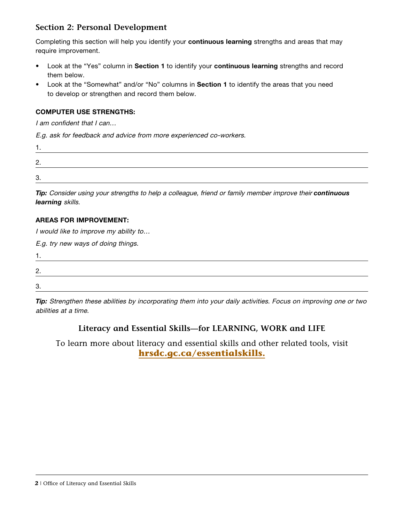## **Section 2: Personal Development**

Completing this section will help you identify your continuous learning strengths and areas that may require improvement.

- Look at the "Yes" column in Section 1 to identify your continuous learning strengths and record them below.
- Look at the "Somewhat" and/or "No" columns in Section 1 to identify the areas that you need to develop or strengthen and record them below.

#### COMPUTER USE STRENGTHS:

I am confident that I can…

E.g. ask for feedback and advice from more experienced co-workers.

| r |  |  |  |
|---|--|--|--|
| ◠ |  |  |  |

*Tip:* Consider using your strengths to help a colleague, friend or family member improve their *continuous learning* skills.

#### AREAS FOR IMPROVEMENT:

I would like to improve my ability to…

E.g. try new ways of doing things.

| റ<br><u>.</u> |  |  |
|---------------|--|--|
| റ<br>ິ.       |  |  |

*Tip:* Strengthen these abilities by incorporating them into your daily activities. Focus on improving one or two abilities at a time.

# **Literacy and Essential Skills—for LEARNING, WORK and LIFE**

To learn more about literacy and essential skills and other related tools, visit **[hrsdc.gc.ca/essentialskills.](http://hrsdc.gc.ca/essentialskills)**